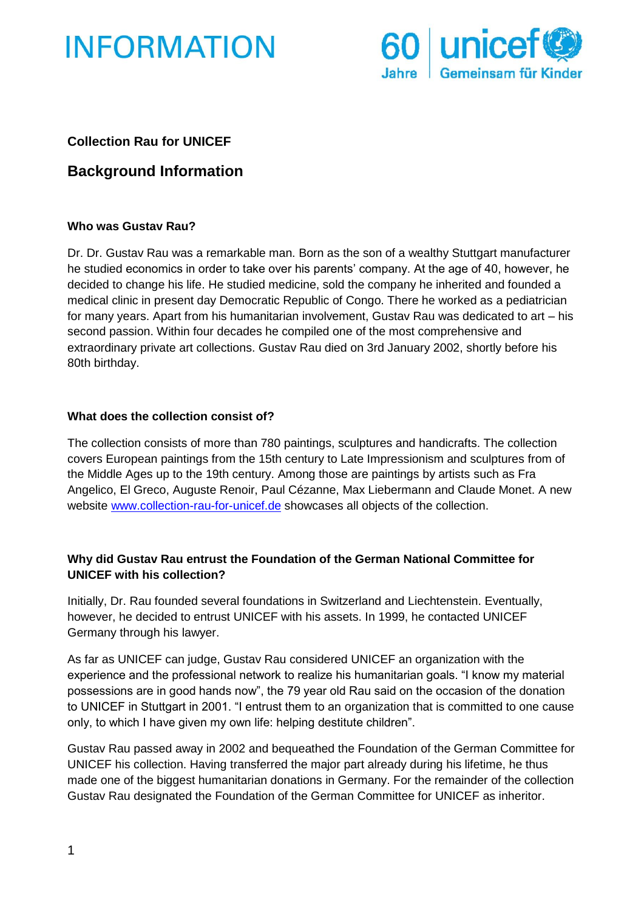



## **Collection Rau for UNICEF**

# **Background Information**

#### **Who was Gustav Rau?**

Dr. Dr. Gustav Rau was a remarkable man. Born as the son of a wealthy Stuttgart manufacturer he studied economics in order to take over his parents' company. At the age of 40, however, he decided to change his life. He studied medicine, sold the company he inherited and founded a medical clinic in present day Democratic Republic of Congo. There he worked as a pediatrician for many years. Apart from his humanitarian involvement, Gustav Rau was dedicated to art – his second passion. Within four decades he compiled one of the most comprehensive and extraordinary private art collections. Gustav Rau died on 3rd January 2002, shortly before his 80th birthday.

#### **What does the collection consist of?**

The collection consists of more than 780 paintings, sculptures and handicrafts. The collection covers European paintings from the 15th century to Late Impressionism and sculptures from of the Middle Ages up to the 19th century. Among those are paintings by artists such as Fra Angelico, El Greco, Auguste Renoir, Paul Cézanne, Max Liebermann and Claude Monet. A new website [www.collection-rau-for-unicef.de](http://www.collection-rau-for-unicef.de/) showcases all objects of the collection.

## **Why did Gustav Rau entrust the Foundation of the German National Committee for UNICEF with his collection?**

Initially, Dr. Rau founded several foundations in Switzerland and Liechtenstein. Eventually, however, he decided to entrust UNICEF with his assets. In 1999, he contacted UNICEF Germany through his lawyer.

As far as UNICEF can judge, Gustav Rau considered UNICEF an organization with the experience and the professional network to realize his humanitarian goals. "I know my material possessions are in good hands now", the 79 year old Rau said on the occasion of the donation to UNICEF in Stuttgart in 2001. "I entrust them to an organization that is committed to one cause only, to which I have given my own life: helping destitute children".

Gustav Rau passed away in 2002 and bequeathed the Foundation of the German Committee for UNICEF his collection. Having transferred the major part already during his lifetime, he thus made one of the biggest humanitarian donations in Germany. For the remainder of the collection Gustav Rau designated the Foundation of the German Committee for UNICEF as inheritor.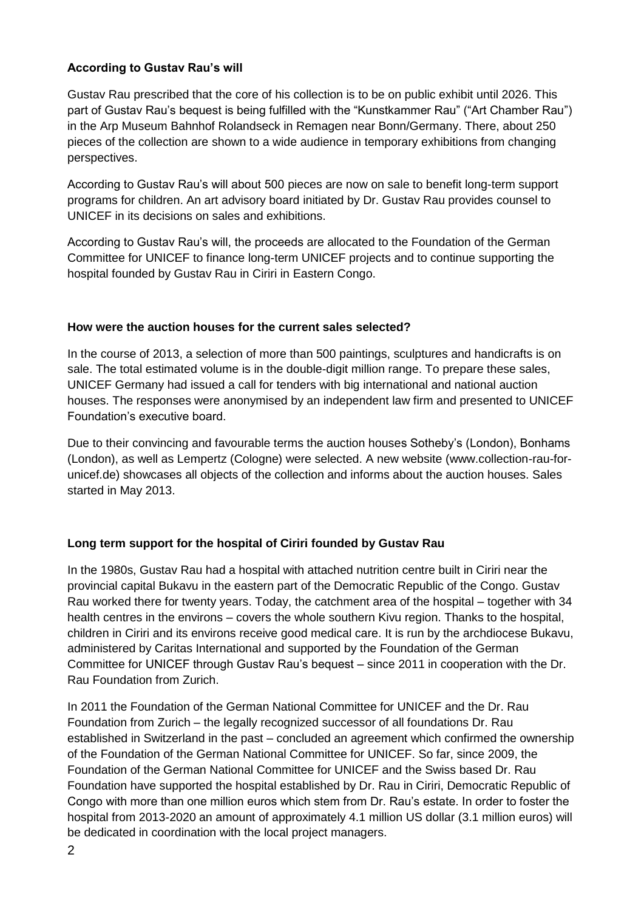## **According to Gustav Rau's will**

Gustav Rau prescribed that the core of his collection is to be on public exhibit until 2026. This part of Gustav Rau's bequest is being fulfilled with the "Kunstkammer Rau" ("Art Chamber Rau") in the Arp Museum Bahnhof Rolandseck in Remagen near Bonn/Germany. There, about 250 pieces of the collection are shown to a wide audience in temporary exhibitions from changing perspectives.

According to Gustav Rau's will about 500 pieces are now on sale to benefit long-term support programs for children. An art advisory board initiated by Dr. Gustav Rau provides counsel to UNICEF in its decisions on sales and exhibitions.

According to Gustav Rau's will, the proceeds are allocated to the Foundation of the German Committee for UNICEF to finance long-term UNICEF projects and to continue supporting the hospital founded by Gustav Rau in Ciriri in Eastern Congo.

## **How were the auction houses for the current sales selected?**

In the course of 2013, a selection of more than 500 paintings, sculptures and handicrafts is on sale. The total estimated volume is in the double-digit million range. To prepare these sales, UNICEF Germany had issued a call for tenders with big international and national auction houses. The responses were anonymised by an independent law firm and presented to UNICEF Foundation's executive board.

Due to their convincing and favourable terms the auction houses Sotheby's (London), Bonhams (London), as well as Lempertz (Cologne) were selected. A new website (www.collection-rau-forunicef.de) showcases all objects of the collection and informs about the auction houses. Sales started in May 2013.

# **Long term support for the hospital of Ciriri founded by Gustav Rau**

In the 1980s, Gustav Rau had a hospital with attached nutrition centre built in Ciriri near the provincial capital Bukavu in the eastern part of the Democratic Republic of the Congo. Gustav Rau worked there for twenty years. Today, the catchment area of the hospital – together with 34 health centres in the environs – covers the whole southern Kivu region. Thanks to the hospital, children in Ciriri and its environs receive good medical care. It is run by the archdiocese Bukavu, administered by Caritas International and supported by the Foundation of the German Committee for UNICEF through Gustav Rau's bequest – since 2011 in cooperation with the Dr. Rau Foundation from Zurich.

In 2011 the Foundation of the German National Committee for UNICEF and the Dr. Rau Foundation from Zurich – the legally recognized successor of all foundations Dr. Rau established in Switzerland in the past – concluded an agreement which confirmed the ownership of the Foundation of the German National Committee for UNICEF. So far, since 2009, the Foundation of the German National Committee for UNICEF and the Swiss based Dr. Rau Foundation have supported the hospital established by Dr. Rau in Ciriri, Democratic Republic of Congo with more than one million euros which stem from Dr. Rau's estate. In order to foster the hospital from 2013-2020 an amount of approximately 4.1 million US dollar (3.1 million euros) will be dedicated in coordination with the local project managers.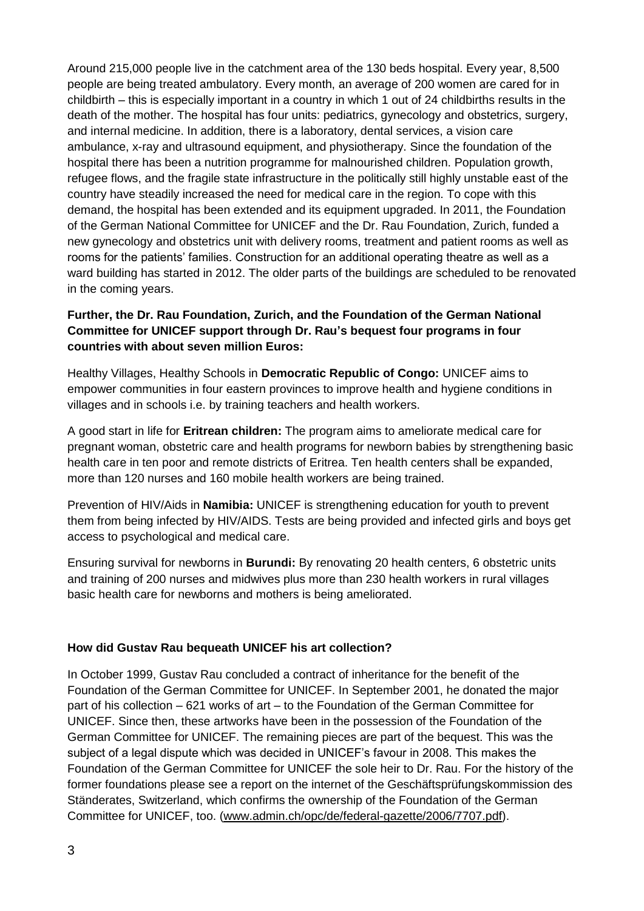Around 215,000 people live in the catchment area of the 130 beds hospital. Every year, 8,500 people are being treated ambulatory. Every month, an average of 200 women are cared for in childbirth – this is especially important in a country in which 1 out of 24 childbirths results in the death of the mother. The hospital has four units: pediatrics, gynecology and obstetrics, surgery, and internal medicine. In addition, there is a laboratory, dental services, a vision care ambulance, x-ray and ultrasound equipment, and physiotherapy. Since the foundation of the hospital there has been a nutrition programme for malnourished children. Population growth, refugee flows, and the fragile state infrastructure in the politically still highly unstable east of the country have steadily increased the need for medical care in the region. To cope with this demand, the hospital has been extended and its equipment upgraded. In 2011, the Foundation of the German National Committee for UNICEF and the Dr. Rau Foundation, Zurich, funded a new gynecology and obstetrics unit with delivery rooms, treatment and patient rooms as well as rooms for the patients' families. Construction for an additional operating theatre as well as a ward building has started in 2012. The older parts of the buildings are scheduled to be renovated in the coming years.

## **Further, the Dr. Rau Foundation, Zurich, and the Foundation of the German National Committee for UNICEF support through Dr. Rau's bequest four programs in four countries with about seven million Euros:**

Healthy Villages, Healthy Schools in **Democratic Republic of Congo:** UNICEF aims to empower communities in four eastern provinces to improve health and hygiene conditions in villages and in schools i.e. by training teachers and health workers.

A good start in life for **Eritrean children:** The program aims to ameliorate medical care for pregnant woman, obstetric care and health programs for newborn babies by strengthening basic health care in ten poor and remote districts of Eritrea. Ten health centers shall be expanded, more than 120 nurses and 160 mobile health workers are being trained.

Prevention of HIV/Aids in **Namibia:** UNICEF is strengthening education for youth to prevent them from being infected by HIV/AIDS. Tests are being provided and infected girls and boys get access to psychological and medical care.

Ensuring survival for newborns in **Burundi:** By renovating 20 health centers, 6 obstetric units and training of 200 nurses and midwives plus more than 230 health workers in rural villages basic health care for newborns and mothers is being ameliorated.

#### **How did Gustav Rau bequeath UNICEF his art collection?**

In October 1999, Gustav Rau concluded a contract of inheritance for the benefit of the Foundation of the German Committee for UNICEF. In September 2001, he donated the major part of his collection – 621 works of art – to the Foundation of the German Committee for UNICEF. Since then, these artworks have been in the possession of the Foundation of the German Committee for UNICEF. The remaining pieces are part of the bequest. This was the subject of a legal dispute which was decided in UNICEF's favour in 2008. This makes the Foundation of the German Committee for UNICEF the sole heir to Dr. Rau. For the history of the former foundations please see a report on the internet of the Geschäftsprüfungskommission des Ständerates, Switzerland, which confirms the ownership of the Foundation of the German Committee for UNICEF, too. (www.admin.ch/opc/de/federal-gazette/2006/7707.pdf).